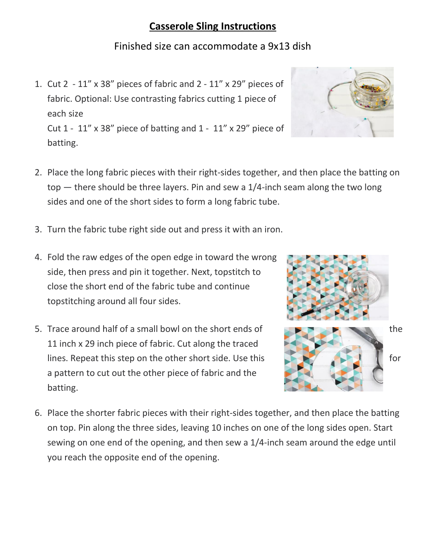## **Casserole Sling Instructions**

## Finished size can accommodate a 9x13 dish

- 1. Cut 2 11" x 38" pieces of fabric and 2 11" x 29" pieces of fabric. Optional: Use contrasting fabrics cutting 1 piece of each size Cut  $1 - 11''$  x 38" piece of batting and  $1 - 11''$  x 29" piece of batting.
- 2. Place the long fabric pieces with their right-sides together, and then place the batting on top — there should be three layers. Pin and sew a 1/4-inch seam along the two long sides and one of the short sides to form a long fabric tube.
- 3. Turn the fabric tube right side out and press it with an iron.
- 4. Fold the raw edges of the open edge in toward the wrong side, then press and pin it together. Next, topstitch to close the short end of the fabric tube and continue topstitching around all four sides.
- 5. Trace around half of a small bowl on the short ends of 11 inch x 29 inch piece of fabric. Cut along the traced lines. Repeat this step on the other short side. Use this **the state of the state of the state of the state of the state of the state of the state of the state of the state of the state of the state of the state of the sta** a pattern to cut out the other piece of fabric and the batting.
- 6. Place the shorter fabric pieces with their right-sides together, and then place the batting on top. Pin along the three sides, leaving 10 inches on one of the long sides open. Start sewing on one end of the opening, and then sew a 1/4-inch seam around the edge until you reach the opposite end of the opening.



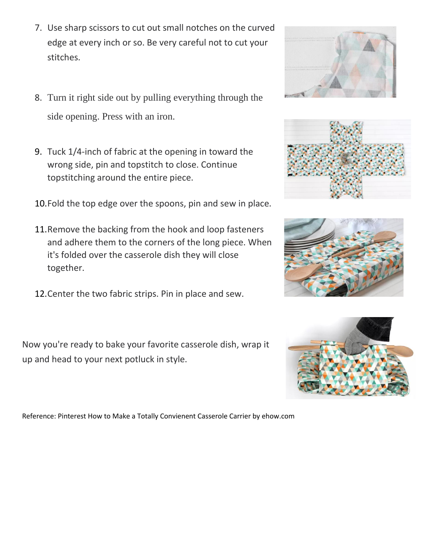- 7. Use sharp scissors to cut out small notches on the curved edge at every inch or so. Be very careful not to cut your stitches.
- 8. Turn it right side out by pulling everything through the side opening. Press with an iron.
- 9. Tuck 1/4-inch of fabric at the opening in toward the wrong side, pin and topstitch to close. Continue topstitching around the entire piece.
- 10.Fold the top edge over the spoons, pin and sew in place.
- 11.Remove the backing from the hook and loop fasteners and adhere them to the corners of the long piece. When it's folded over the casserole dish they will close together.
- 12.Center the two fabric strips. Pin in place and sew.

Now you're ready to bake your favorite casserole dish, wrap it up and head to your next potluck in style.

Reference: Pinterest How to Make a Totally Convienent Casserole Carrier by ehow.com







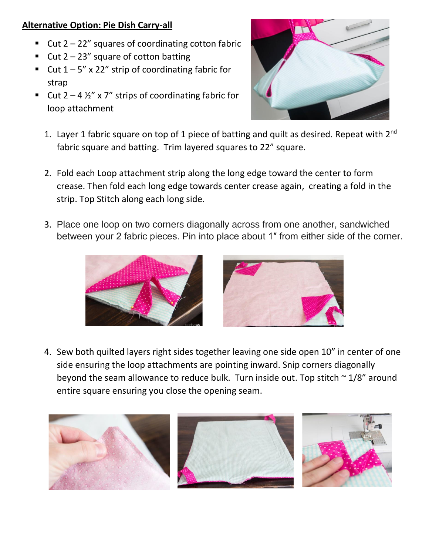## **Alternative Option: Pie Dish Carry-all**

- Cut  $2 22$ " squares of coordinating cotton fabric
- Cut  $2 23$ " square of cotton batting
- Cut  $1 5$ " x 22" strip of coordinating fabric for strap
- Cut  $2 4 \frac{1}{2}$  x 7" strips of coordinating fabric for loop attachment



- 1. Layer 1 fabric square on top of 1 piece of batting and quilt as desired. Repeat with 2<sup>nd</sup> fabric square and batting. Trim layered squares to 22" square.
- 2. Fold each Loop attachment strip along the long edge toward the center to form crease. Then fold each long edge towards center crease again, creating a fold in the strip. Top Stitch along each long side.
- 3. Place one loop on two corners diagonally across from one another, sandwiched between your 2 fabric pieces. Pin into place about 1″ from either side of the corner.





4. Sew both quilted layers right sides together leaving one side open 10" in center of one side ensuring the loop attachments are pointing inward. Snip corners diagonally beyond the seam allowance to reduce bulk. Turn inside out. Top stitch  $\sim 1/8$ " around entire square ensuring you close the opening seam.